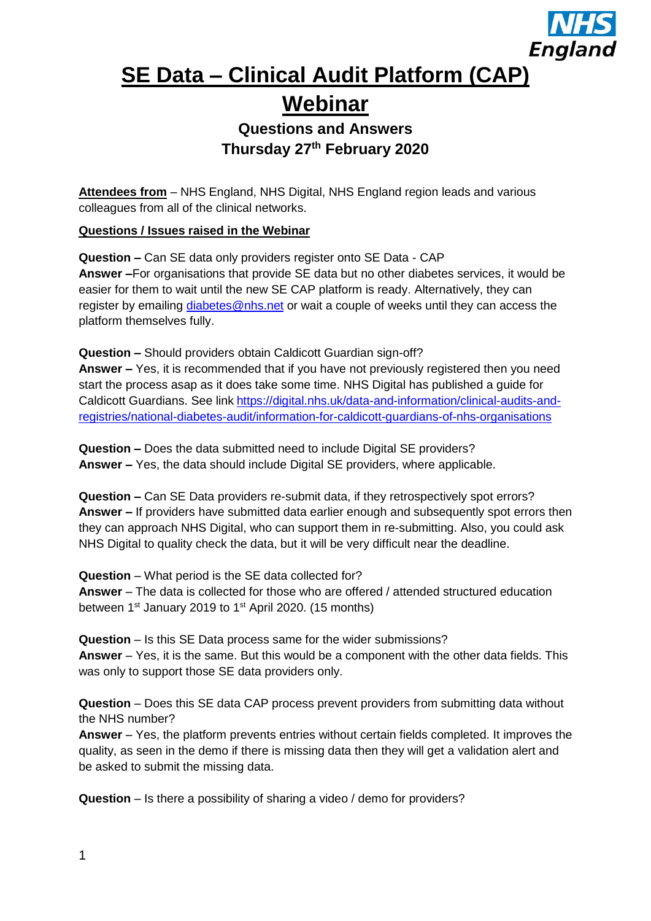

## **SE Data – Clinical Audit Platform (CAP) Webinar**

## **Questions and Answers Thursday 27th February 2020**

**Attendees from** – NHS England, NHS Digital, NHS England region leads and various colleagues from all of the clinical networks.

**Questions / Issues raised in the Webinar**

**Question –** Can SE data only providers register onto SE Data - CAP **Answer –**For organisations that provide SE data but no other diabetes services, it would be easier for them to wait until the new SE CAP platform is ready. Alternatively, they can register by emailing [diabetes@nhs.net](mailto:diabetes@nhs.net) or wait a couple of weeks until they can access the platform themselves fully.

**Question –** Should providers obtain Caldicott Guardian sign-off?

**Answer –** Yes, it is recommended that if you have not previously registered then you need start the process asap as it does take some time. NHS Digital has published a guide for Caldicott Guardians. See link [https://digital.nhs.uk/data-and-information/clinical-audits-and](https://digital.nhs.uk/data-and-information/clinical-audits-and-registries/national-diabetes-audit/information-for-caldicott-guardians-of-nhs-organisations)[registries/national-diabetes-audit/information-for-caldicott-guardians-of-nhs-organisations](https://digital.nhs.uk/data-and-information/clinical-audits-and-registries/national-diabetes-audit/information-for-caldicott-guardians-of-nhs-organisations)

**Question –** Does the data submitted need to include Digital SE providers? **Answer –** Yes, the data should include Digital SE providers, where applicable.

**Question –** Can SE Data providers re-submit data, if they retrospectively spot errors? **Answer –** If providers have submitted data earlier enough and subsequently spot errors then they can approach NHS Digital, who can support them in re-submitting. Also, you could ask NHS Digital to quality check the data, but it will be very difficult near the deadline.

**Question** – What period is the SE data collected for? **Answer** – The data is collected for those who are offered / attended structured education between  $1<sup>st</sup>$  January 2019 to  $1<sup>st</sup>$  April 2020. (15 months)

**Question** – Is this SE Data process same for the wider submissions? **Answer** – Yes, it is the same. But this would be a component with the other data fields. This was only to support those SE data providers only.

**Question** – Does this SE data CAP process prevent providers from submitting data without the NHS number?

**Answer** – Yes, the platform prevents entries without certain fields completed. It improves the quality, as seen in the demo if there is missing data then they will get a validation alert and be asked to submit the missing data.

**Question** – Is there a possibility of sharing a video / demo for providers?